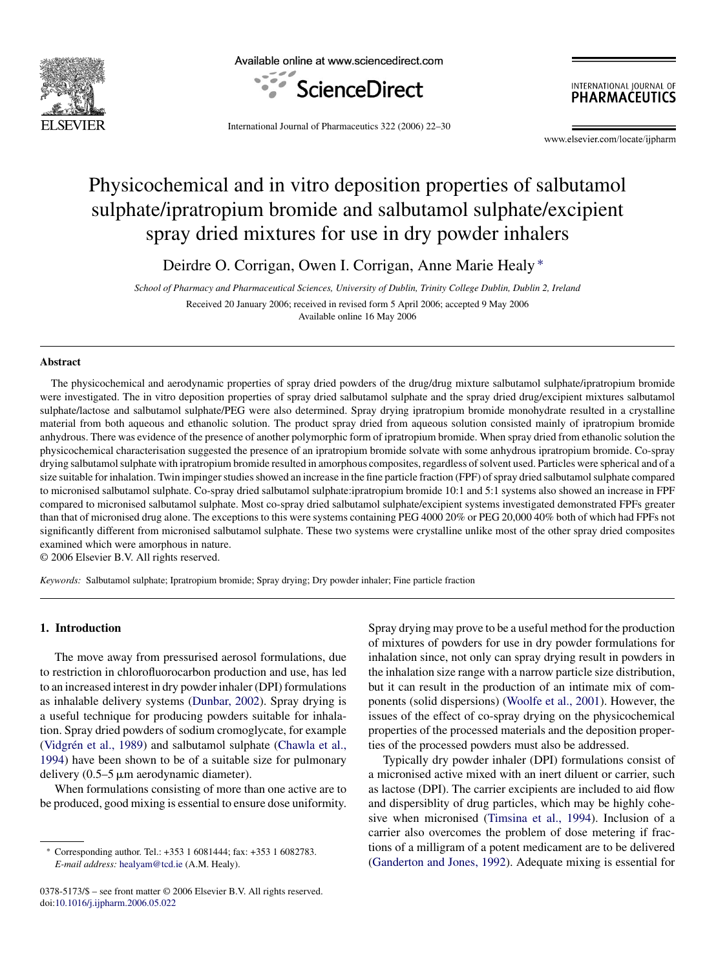

Available online at www.sciencedirect.com



INTERNATIONAL JOURNAL OF **PHARMACEUTICS** 

International Journal of Pharmaceutics 322 (2006) 22–30

www.elsevier.com/locate/iipharm

# Physicochemical and in vitro deposition properties of salbutamol sulphate/ipratropium bromide and salbutamol sulphate/excipient spray dried mixtures for use in dry powder inhalers

Deirdre O. Corrigan, Owen I. Corrigan, Anne Marie Healy ∗

*School of Pharmacy and Pharmaceutical Sciences, University of Dublin, Trinity College Dublin, Dublin 2, Ireland* Received 20 January 2006; received in revised form 5 April 2006; accepted 9 May 2006 Available online 16 May 2006

#### **Abstract**

The physicochemical and aerodynamic properties of spray dried powders of the drug/drug mixture salbutamol sulphate/ipratropium bromide were investigated. The in vitro deposition properties of spray dried salbutamol sulphate and the spray dried drug/excipient mixtures salbutamol sulphate/lactose and salbutamol sulphate/PEG were also determined. Spray drying ipratropium bromide monohydrate resulted in a crystalline material from both aqueous and ethanolic solution. The product spray dried from aqueous solution consisted mainly of ipratropium bromide anhydrous. There was evidence of the presence of another polymorphic form of ipratropium bromide. When spray dried from ethanolic solution the physicochemical characterisation suggested the presence of an ipratropium bromide solvate with some anhydrous ipratropium bromide. Co-spray drying salbutamol sulphate with ipratropium bromide resulted in amorphous composites, regardless of solvent used. Particles were spherical and of a size suitable for inhalation. Twin impinger studies showed an increase in the fine particle fraction (FPF) of spray dried salbutamol sulphate compared to micronised salbutamol sulphate. Co-spray dried salbutamol sulphate:ipratropium bromide 10:1 and 5:1 systems also showed an increase in FPF compared to micronised salbutamol sulphate. Most co-spray dried salbutamol sulphate/excipient systems investigated demonstrated FPFs greater than that of micronised drug alone. The exceptions to this were systems containing PEG 4000 20% or PEG 20,000 40% both of which had FPFs not significantly different from micronised salbutamol sulphate. These two systems were crystalline unlike most of the other spray dried composites examined which were amorphous in nature.

© 2006 Elsevier B.V. All rights reserved.

*Keywords:* Salbutamol sulphate; Ipratropium bromide; Spray drying; Dry powder inhaler; Fine particle fraction

## **1. Introduction**

The move away from pressurised aerosol formulations, due to restriction in chlorofluorocarbon production and use, has led to an increased interest in dry powder inhaler (DPI) formulations as inhalable delivery systems ([Dunbar, 2002\).](#page-8-0) Spray drying is a useful technique for producing powders suitable for inhalation. Spray dried powders of sodium cromoglycate, for example (Vidgrén et al., 1989) and salbutamol sulphate ([Chawla et al.,](#page-8-0) [1994\)](#page-8-0) have been shown to be of a suitable size for pulmonary delivery  $(0.5-5 \mu m)$  aerodynamic diameter).

When formulations consisting of more than one active are to be produced, good mixing is essential to ensure dose uniformity.

0378-5173/\$ – see front matter © 2006 Elsevier B.V. All rights reserved. doi[:10.1016/j.ijpharm.2006.05.022](dx.doi.org/10.1016/j.ijpharm.2006.05.022)

Spray drying may prove to be a useful method for the production of mixtures of powders for use in dry powder formulations for inhalation since, not only can spray drying result in powders in the inhalation size range with a narrow particle size distribution, but it can result in the production of an intimate mix of components (solid dispersions) [\(Woolfe et al., 2001\).](#page-8-0) However, the issues of the effect of co-spray drying on the physicochemical properties of the processed materials and the deposition properties of the processed powders must also be addressed.

Typically dry powder inhaler (DPI) formulations consist of a micronised active mixed with an inert diluent or carrier, such as lactose (DPI). The carrier excipients are included to aid flow and dispersiblity of drug particles, which may be highly cohesive when micronised ([Timsina et al., 1994\).](#page-8-0) Inclusion of a carrier also overcomes the problem of dose metering if fractions of a milligram of a potent medicament are to be delivered [\(Ganderton and Jones, 1992\).](#page-8-0) Adequate mixing is essential for

<sup>∗</sup> Corresponding author. Tel.: +353 1 6081444; fax: +353 1 6082783. *E-mail address:* [healyam@tcd.ie](mailto:healyam@tcd.ie) (A.M. Healy).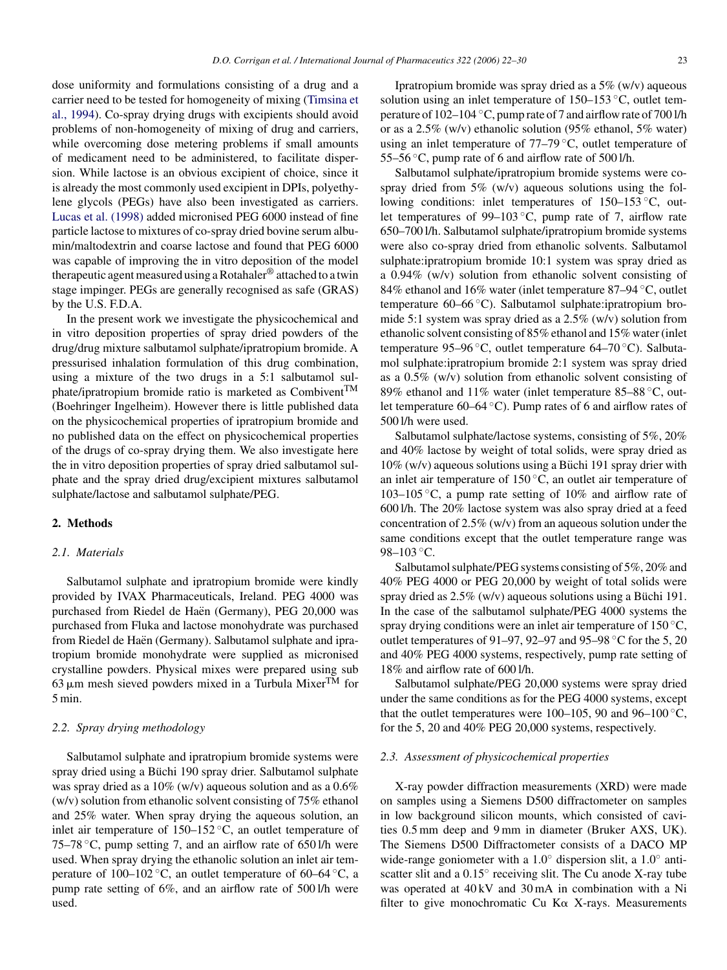dose uniformity and formulations consisting of a drug and a carrier need to be tested for homogeneity of mixing ([Timsina et](#page-8-0) [al., 1994\).](#page-8-0) Co-spray drying drugs with excipients should avoid problems of non-homogeneity of mixing of drug and carriers, while overcoming dose metering problems if small amounts of medicament need to be administered, to facilitate dispersion. While lactose is an obvious excipient of choice, since it is already the most commonly used excipient in DPIs, polyethylene glycols (PEGs) have also been investigated as carriers. [Lucas et al. \(1998\)](#page-8-0) added micronised PEG 6000 instead of fine particle lactose to mixtures of co-spray dried bovine serum albumin/maltodextrin and coarse lactose and found that PEG 6000 was capable of improving the in vitro deposition of the model therapeutic agent measured using a Rotahaler® attached to a twin stage impinger. PEGs are generally recognised as safe (GRAS) by the U.S. F.D.A.

In the present work we investigate the physicochemical and in vitro deposition properties of spray dried powders of the drug/drug mixture salbutamol sulphate/ipratropium bromide. A pressurised inhalation formulation of this drug combination, using a mixture of the two drugs in a 5:1 salbutamol sulphate/ipratropium bromide ratio is marketed as Combivent<sup>TM</sup> (Boehringer Ingelheim). However there is little published data on the physicochemical properties of ipratropium bromide and no published data on the effect on physicochemical properties of the drugs of co-spray drying them. We also investigate here the in vitro deposition properties of spray dried salbutamol sulphate and the spray dried drug/excipient mixtures salbutamol sulphate/lactose and salbutamol sulphate/PEG.

# **2. Methods**

# *2.1. Materials*

Salbutamol sulphate and ipratropium bromide were kindly provided by IVAX Pharmaceuticals, Ireland. PEG 4000 was purchased from Riedel de Haën (Germany), PEG 20,000 was purchased from Fluka and lactose monohydrate was purchased from Riedel de Haën (Germany). Salbutamol sulphate and ipratropium bromide monohydrate were supplied as micronised crystalline powders. Physical mixes were prepared using sub 63  $\mu$ m mesh sieved powders mixed in a Turbula Mixer<sup>TM</sup> for 5 min.

# *2.2. Spray drying methodology*

Salbutamol sulphate and ipratropium bromide systems were spray dried using a Büchi 190 spray drier. Salbutamol sulphate was spray dried as a 10% (w/v) aqueous solution and as a 0.6% (w/v) solution from ethanolic solvent consisting of 75% ethanol and 25% water. When spray drying the aqueous solution, an inlet air temperature of  $150-152$  °C, an outlet temperature of 75–78  $\degree$ C, pump setting 7, and an airflow rate of 650 l/h were used. When spray drying the ethanolic solution an inlet air temperature of 100–102 °C, an outlet temperature of 60–64 °C, a pump rate setting of 6%, and an airflow rate of 500 l/h were used.

Ipratropium bromide was spray dried as a 5% (w/v) aqueous solution using an inlet temperature of  $150-153$  °C, outlet temperature of 102–104 ◦C, pump rate of 7 and airflow rate of 700 l/h or as a 2.5% (w/v) ethanolic solution (95% ethanol, 5% water) using an inlet temperature of 77–79 ◦C, outlet temperature of 55–56 ◦C, pump rate of 6 and airflow rate of 500 l/h.

Salbutamol sulphate/ipratropium bromide systems were cospray dried from  $5\%$  (w/v) aqueous solutions using the following conditions: inlet temperatures of 150–153 ◦C, outlet temperatures of 99–103  $°C$ , pump rate of 7, airflow rate 650–700 l/h. Salbutamol sulphate/ipratropium bromide systems were also co-spray dried from ethanolic solvents. Salbutamol sulphate:ipratropium bromide 10:1 system was spray dried as a 0.94% (w/v) solution from ethanolic solvent consisting of 84% ethanol and 16% water (inlet temperature 87–94 ◦C, outlet temperature 60–66 ◦C). Salbutamol sulphate:ipratropium bromide 5:1 system was spray dried as a 2.5% (w/v) solution from ethanolic solvent consisting of 85% ethanol and 15% water (inlet temperature 95–96 °C, outlet temperature 64–70 °C). Salbutamol sulphate:ipratropium bromide 2:1 system was spray dried as a 0.5% (w/v) solution from ethanolic solvent consisting of 89% ethanol and 11% water (inlet temperature 85–88 °C, outlet temperature 60–64 ◦C). Pump rates of 6 and airflow rates of 500 l/h were used.

Salbutamol sulphate/lactose systems, consisting of 5%, 20% and 40% lactose by weight of total solids, were spray dried as  $10\%$  (w/v) aqueous solutions using a Büchi 191 spray drier with an inlet air temperature of  $150^{\circ}$ C, an outlet air temperature of 103–105  $\degree$ C, a pump rate setting of 10% and airflow rate of 600 l/h. The 20% lactose system was also spray dried at a feed concentration of 2.5% (w/v) from an aqueous solution under the same conditions except that the outlet temperature range was 98–103 °C.

Salbutamol sulphate/PEG systems consisting of 5%, 20% and 40% PEG 4000 or PEG 20,000 by weight of total solids were spray dried as  $2.5\%$  (w/v) aqueous solutions using a Büchi 191. In the case of the salbutamol sulphate/PEG 4000 systems the spray drying conditions were an inlet air temperature of  $150^{\circ}$ C, outlet temperatures of 91–97, 92–97 and 95–98 ◦C for the 5, 20 and 40% PEG 4000 systems, respectively, pump rate setting of 18% and airflow rate of 600 l/h.

Salbutamol sulphate/PEG 20,000 systems were spray dried under the same conditions as for the PEG 4000 systems, except that the outlet temperatures were 100–105, 90 and 96–100  $\mathrm{^{\circ}C},$ for the 5, 20 and 40% PEG 20,000 systems, respectively.

#### *2.3. Assessment of physicochemical properties*

X-ray powder diffraction measurements (XRD) were made on samples using a Siemens D500 diffractometer on samples in low background silicon mounts, which consisted of cavities 0.5 mm deep and 9 mm in diameter (Bruker AXS, UK). The Siemens D500 Diffractometer consists of a DACO MP wide-range goniometer with a 1.0◦ dispersion slit, a 1.0◦ antiscatter slit and a 0.15<sup>°</sup> receiving slit. The Cu anode X-ray tube was operated at 40 kV and 30 mA in combination with a Ni filter to give monochromatic Cu K $\alpha$  X-rays. Measurements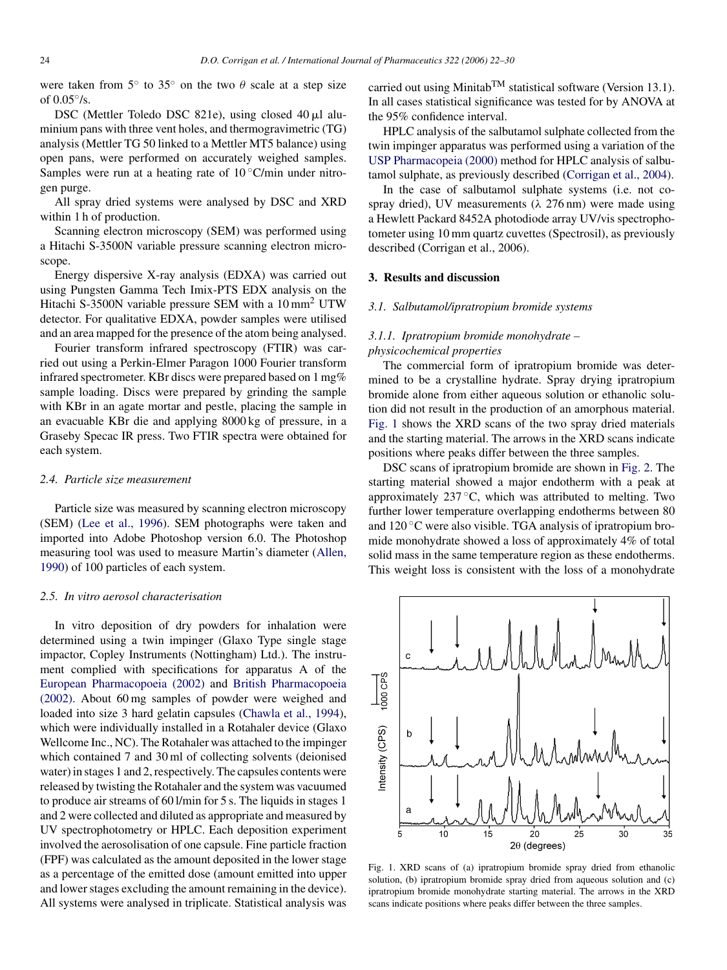were taken from  $5^\circ$  to  $35^\circ$  on the two  $\theta$  scale at a step size of  $0.05\%$ .

DSC (Mettler Toledo DSC 821e), using closed  $40 \mu l$  aluminium pans with three vent holes, and thermogravimetric (TG) analysis (Mettler TG 50 linked to a Mettler MT5 balance) using open pans, were performed on accurately weighed samples. Samples were run at a heating rate of  $10^{\circ}$ C/min under nitrogen purge.

All spray dried systems were analysed by DSC and XRD within 1 h of production.

Scanning electron microscopy (SEM) was performed using a Hitachi S-3500N variable pressure scanning electron microscope.

Energy dispersive X-ray analysis (EDXA) was carried out using Pungsten Gamma Tech Imix-PTS EDX analysis on the Hitachi S-3500N variable pressure SEM with a 10 mm<sup>2</sup> UTW detector. For qualitative EDXA, powder samples were utilised and an area mapped for the presence of the atom being analysed.

Fourier transform infrared spectroscopy (FTIR) was carried out using a Perkin-Elmer Paragon 1000 Fourier transform infrared spectrometer. KBr discs were prepared based on 1 mg% sample loading. Discs were prepared by grinding the sample with KBr in an agate mortar and pestle, placing the sample in an evacuable KBr die and applying 8000 kg of pressure, in a Graseby Specac IR press. Two FTIR spectra were obtained for each system.

#### *2.4. Particle size measurement*

Particle size was measured by scanning electron microscopy (SEM) [\(Lee et al., 1996\).](#page-8-0) SEM photographs were taken and imported into Adobe Photoshop version 6.0. The Photoshop measuring tool was used to measure Martin's diameter [\(Allen,](#page-8-0) [1990\)](#page-8-0) of 100 particles of each system.

#### *2.5. In vitro aerosol characterisation*

In vitro deposition of dry powders for inhalation were determined using a twin impinger (Glaxo Type single stage impactor, Copley Instruments (Nottingham) Ltd.). The instrument complied with specifications for apparatus A of the [European Pharmacopoeia \(2002\)](#page-8-0) and [British Pharmacopoeia](#page-8-0) [\(2002\).](#page-8-0) About 60 mg samples of powder were weighed and loaded into size 3 hard gelatin capsules [\(Chawla et al., 1994\),](#page-8-0) which were individually installed in a Rotahaler device (Glaxo Wellcome Inc., NC). The Rotahaler was attached to the impinger which contained 7 and 30 ml of collecting solvents (deionised water) in stages 1 and 2, respectively. The capsules contents were released by twisting the Rotahaler and the system was vacuumed to produce air streams of 60 l/min for 5 s. The liquids in stages 1 and 2 were collected and diluted as appropriate and measured by UV spectrophotometry or HPLC. Each deposition experiment involved the aerosolisation of one capsule. Fine particle fraction (FPF) was calculated as the amount deposited in the lower stage as a percentage of the emitted dose (amount emitted into upper and lower stages excluding the amount remaining in the device). All systems were analysed in triplicate. Statistical analysis was carried out using Minitab<sup>TM</sup> statistical software (Version 13.1). In all cases statistical significance was tested for by ANOVA at the 95% confidence interval.

HPLC analysis of the salbutamol sulphate collected from the twin impinger apparatus was performed using a variation of the [USP Pharmacopeia \(2000\)](#page-8-0) method for HPLC analysis of salbutamol sulphate, as previously described [\(Corrigan et al., 2004\).](#page-8-0)

In the case of salbutamol sulphate systems (i.e. not cospray dried), UV measurements ( $\lambda$  276 nm) were made using a Hewlett Packard 8452A photodiode array UV/vis spectrophotometer using 10 mm quartz cuvettes (Spectrosil), as previously described (Corrigan et al., 2006).

#### **3. Results and discussion**

#### *3.1. Salbutamol/ipratropium bromide systems*

# *3.1.1. Ipratropium bromide monohydrate – physicochemical properties*

The commercial form of ipratropium bromide was determined to be a crystalline hydrate. Spray drying ipratropium bromide alone from either aqueous solution or ethanolic solution did not result in the production of an amorphous material. Fig. 1 shows the XRD scans of the two spray dried materials and the starting material. The arrows in the XRD scans indicate positions where peaks differ between the three samples.

DSC scans of ipratropium bromide are shown in [Fig. 2.](#page-3-0) The starting material showed a major endotherm with a peak at approximately  $237^{\circ}$ C, which was attributed to melting. Two further lower temperature overlapping endotherms between 80 and  $120^{\circ}$ C were also visible. TGA analysis of ipratropium bromide monohydrate showed a loss of approximately 4% of total solid mass in the same temperature region as these endotherms. This weight loss is consistent with the loss of a monohydrate



Fig. 1. XRD scans of (a) ipratropium bromide spray dried from ethanolic solution, (b) ipratropium bromide spray dried from aqueous solution and (c) ipratropium bromide monohydrate starting material. The arrows in the XRD scans indicate positions where peaks differ between the three samples.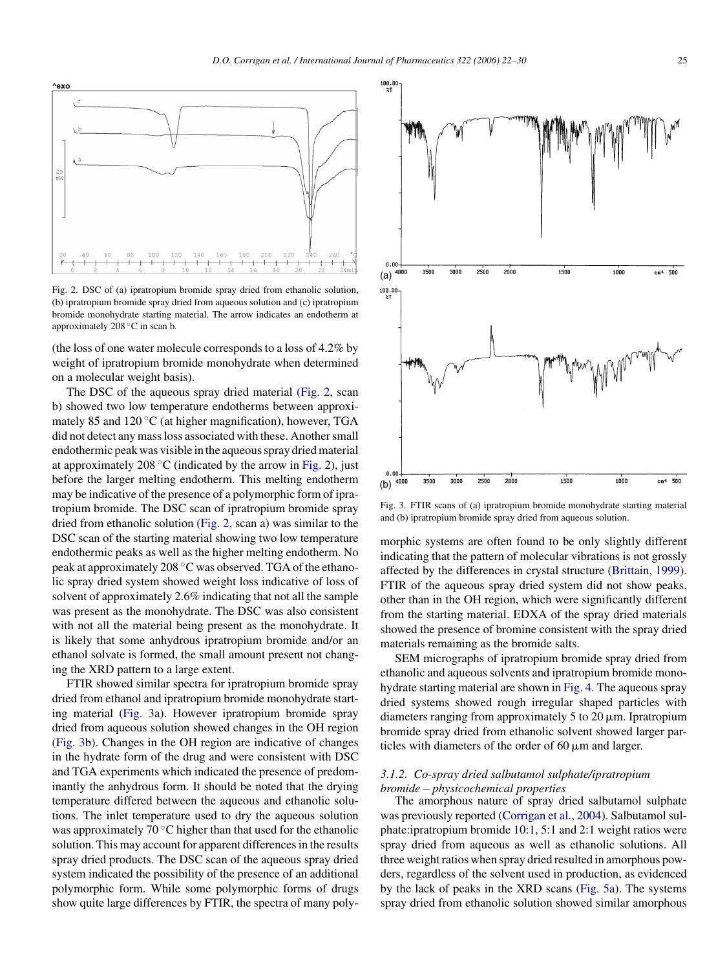<span id="page-3-0"></span>

Fig. 2. DSC of (a) ipratropium bromide spray dried from ethanolic solution, (b) ipratropium bromide spray dried from aqueous solution and (c) ipratropium bromide monohydrate starting material. The arrow indicates an endotherm at approximately 208 ◦C in scan b.

(the loss of one water molecule corresponds to a loss of 4.2% by weight of ipratropium bromide monohydrate when determined on a molecular weight basis).

The DSC of the aqueous spray dried material (Fig. 2, scan b) showed two low temperature endotherms between approximately 85 and  $120\,^{\circ}\text{C}$  (at higher magnification), however, TGA did not detect any mass loss associated with these. Another small endothermic peak was visible in the aqueous spray dried material at approximately 208  $°C$  (indicated by the arrow in Fig. 2), just before the larger melting endotherm. This melting endotherm may be indicative of the presence of a polymorphic form of ipratropium bromide. The DSC scan of ipratropium bromide spray dried from ethanolic solution (Fig. 2, scan a) was similar to the DSC scan of the starting material showing two low temperature endothermic peaks as well as the higher melting endotherm. No peak at approximately 208 ◦C was observed. TGA of the ethanolic spray dried system showed weight loss indicative of loss of solvent of approximately 2.6% indicating that not all the sample was present as the monohydrate. The DSC was also consistent with not all the material being present as the monohydrate. It is likely that some anhydrous ipratropium bromide and/or an ethanol solvate is formed, the small amount present not changing the XRD pattern to a large extent.

FTIR showed similar spectra for ipratropium bromide spray dried from ethanol and ipratropium bromide monohydrate starting material (Fig. 3a). However ipratropium bromide spray dried from aqueous solution showed changes in the OH region (Fig. 3b). Changes in the OH region are indicative of changes in the hydrate form of the drug and were consistent with DSC and TGA experiments which indicated the presence of predominantly the anhydrous form. It should be noted that the drying temperature differed between the aqueous and ethanolic solutions. The inlet temperature used to dry the aqueous solution was approximately  $70^{\circ}$ C higher than that used for the ethanolic solution. This may account for apparent differences in the results spray dried products. The DSC scan of the aqueous spray dried system indicated the possibility of the presence of an additional polymorphic form. While some polymorphic forms of drugs show quite large differences by FTIR, the spectra of many poly-



Fig. 3. FTIR scans of (a) ipratropium bromide monohydrate starting material and (b) ipratropium bromide spray dried from aqueous solution.

morphic systems are often found to be only slightly different indicating that the pattern of molecular vibrations is not grossly affected by the differences in crystal structure [\(Brittain, 1999\).](#page-8-0) FTIR of the aqueous spray dried system did not show peaks, other than in the OH region, which were significantly different from the starting material. EDXA of the spray dried materials showed the presence of bromine consistent with the spray dried materials remaining as the bromide salts.

SEM micrographs of ipratropium bromide spray dried from ethanolic and aqueous solvents and ipratropium bromide monohydrate starting material are shown in [Fig. 4. T](#page-4-0)he aqueous spray dried systems showed rough irregular shaped particles with diameters ranging from approximately 5 to 20  $\mu$ m. Ipratropium bromide spray dried from ethanolic solvent showed larger particles with diameters of the order of 60  $\mu$ m and larger.

#### *3.1.2. Co-spray dried salbutamol sulphate/ipratropium bromide – physicochemical properties*

The amorphous nature of spray dried salbutamol sulphate was previously reported ([Corrigan et al., 2004\).](#page-8-0) Salbutamol sulphate:ipratropium bromide 10:1, 5:1 and 2:1 weight ratios were spray dried from aqueous as well as ethanolic solutions. All three weight ratios when spray dried resulted in amorphous powders, regardless of the solvent used in production, as evidenced by the lack of peaks in the XRD scans [\(Fig. 5a\)](#page-5-0). The systems spray dried from ethanolic solution showed similar amorphous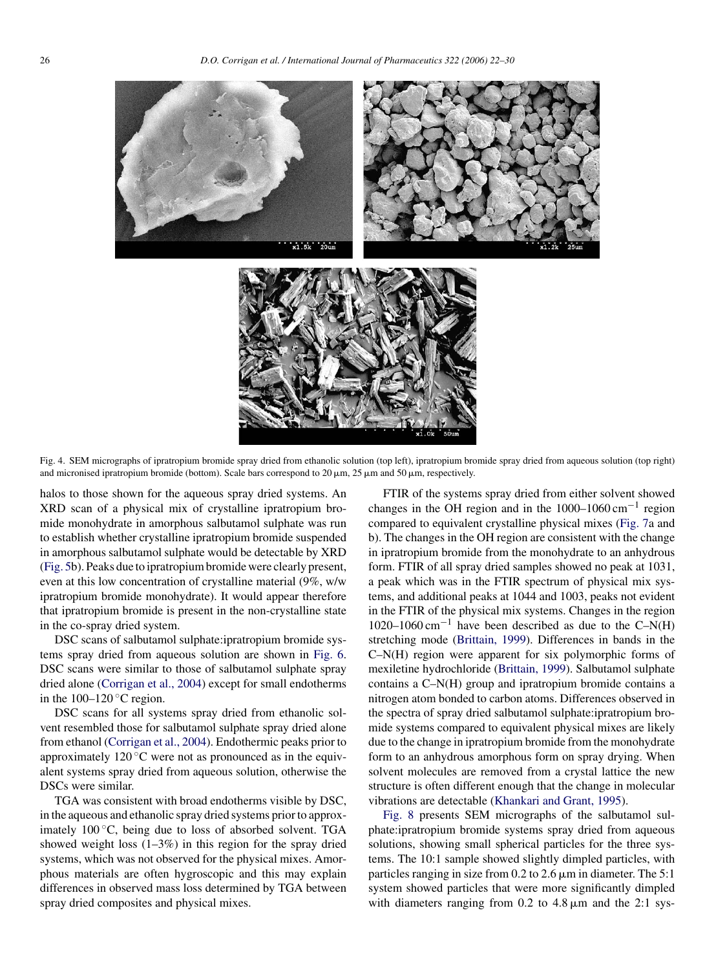<span id="page-4-0"></span>

Fig. 4. SEM micrographs of ipratropium bromide spray dried from ethanolic solution (top left), ipratropium bromide spray dried from aqueous solution (top right) and micronised ipratropium bromide (bottom). Scale bars correspond to 20  $\mu$ m, 25  $\mu$ m and 50  $\mu$ m, respectively.

halos to those shown for the aqueous spray dried systems. An XRD scan of a physical mix of crystalline ipratropium bromide monohydrate in amorphous salbutamol sulphate was run to establish whether crystalline ipratropium bromide suspended in amorphous salbutamol sulphate would be detectable by XRD [\(Fig. 5b\)](#page-5-0). Peaks due to ipratropium bromide were clearly present, even at this low concentration of crystalline material (9%, w/w ipratropium bromide monohydrate). It would appear therefore that ipratropium bromide is present in the non-crystalline state in the co-spray dried system.

DSC scans of salbutamol sulphate:ipratropium bromide systems spray dried from aqueous solution are shown in [Fig. 6.](#page-5-0) DSC scans were similar to those of salbutamol sulphate spray dried alone [\(Corrigan et al., 2004\)](#page-8-0) except for small endotherms in the  $100-120$  °C region.

DSC scans for all systems spray dried from ethanolic solvent resembled those for salbutamol sulphate spray dried alone from ethanol ([Corrigan et al., 2004\).](#page-8-0) Endothermic peaks prior to approximately  $120\degree C$  were not as pronounced as in the equivalent systems spray dried from aqueous solution, otherwise the DSCs were similar.

TGA was consistent with broad endotherms visible by DSC, in the aqueous and ethanolic spray dried systems prior to approximately  $100\degree C$ , being due to loss of absorbed solvent. TGA showed weight loss  $(1-3\%)$  in this region for the spray dried systems, which was not observed for the physical mixes. Amorphous materials are often hygroscopic and this may explain differences in observed mass loss determined by TGA between spray dried composites and physical mixes.

FTIR of the systems spray dried from either solvent showed changes in the OH region and in the  $1000-1060$  cm<sup>-1</sup> region compared to equivalent crystalline physical mixes ([Fig. 7a](#page-5-0) and b). The changes in the OH region are consistent with the change in ipratropium bromide from the monohydrate to an anhydrous form. FTIR of all spray dried samples showed no peak at 1031, a peak which was in the FTIR spectrum of physical mix systems, and additional peaks at 1044 and 1003, peaks not evident in the FTIR of the physical mix systems. Changes in the region 1020–1060 cm<sup>-1</sup> have been described as due to the C–N(H) stretching mode [\(Brittain, 1999\).](#page-8-0) Differences in bands in the C–N(H) region were apparent for six polymorphic forms of mexiletine hydrochloride [\(Brittain, 1999\).](#page-8-0) Salbutamol sulphate contains a C–N(H) group and ipratropium bromide contains a nitrogen atom bonded to carbon atoms. Differences observed in the spectra of spray dried salbutamol sulphate:ipratropium bromide systems compared to equivalent physical mixes are likely due to the change in ipratropium bromide from the monohydrate form to an anhydrous amorphous form on spray drying. When solvent molecules are removed from a crystal lattice the new structure is often different enough that the change in molecular vibrations are detectable [\(Khankari and Grant, 1995\).](#page-8-0)

[Fig. 8](#page-6-0) presents SEM micrographs of the salbutamol sulphate:ipratropium bromide systems spray dried from aqueous solutions, showing small spherical particles for the three systems. The 10:1 sample showed slightly dimpled particles, with particles ranging in size from  $0.2$  to  $2.6 \mu m$  in diameter. The  $5:1$ system showed particles that were more significantly dimpled with diameters ranging from  $0.2$  to  $4.8 \mu m$  and the  $2.1 \text{ sys}$ -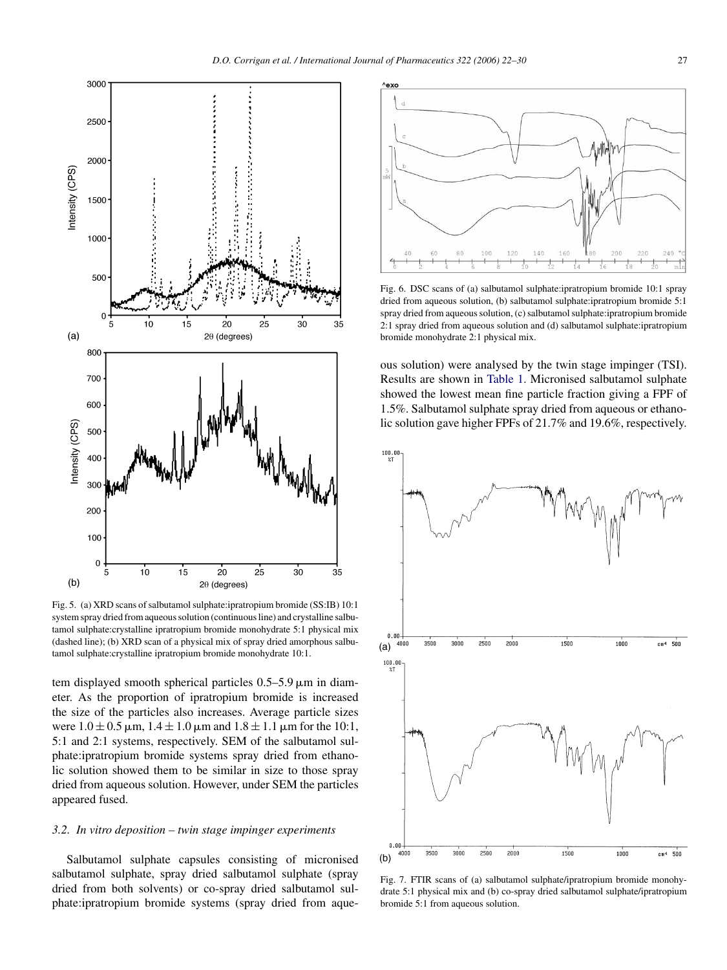<span id="page-5-0"></span>

Fig. 5. (a) XRD scans of salbutamol sulphate:ipratropium bromide (SS:IB) 10:1 system spray dried from aqueous solution (continuous line) and crystalline salbutamol sulphate:crystalline ipratropium bromide monohydrate 5:1 physical mix (dashed line); (b) XRD scan of a physical mix of spray dried amorphous salbutamol sulphate:crystalline ipratropium bromide monohydrate 10:1.

tem displayed smooth spherical particles  $0.5-5.9 \,\mu m$  in diameter. As the proportion of ipratropium bromide is increased the size of the particles also increases. Average particle sizes were  $1.0 \pm 0.5$   $\mu$ m,  $1.4 \pm 1.0$   $\mu$ m and  $1.8 \pm 1.1$   $\mu$ m for the 10:1, 5:1 and 2:1 systems, respectively. SEM of the salbutamol sulphate:ipratropium bromide systems spray dried from ethanolic solution showed them to be similar in size to those spray dried from aqueous solution. However, under SEM the particles appeared fused.

# *3.2. In vitro deposition – twin stage impinger experiments*

Salbutamol sulphate capsules consisting of micronised salbutamol sulphate, spray dried salbutamol sulphate (spray dried from both solvents) or co-spray dried salbutamol sulphate:ipratropium bromide systems (spray dried from aque-



Fig. 6. DSC scans of (a) salbutamol sulphate:ipratropium bromide 10:1 spray dried from aqueous solution, (b) salbutamol sulphate:ipratropium bromide 5:1 spray dried from aqueous solution, (c) salbutamol sulphate:ipratropium bromide 2:1 spray dried from aqueous solution and (d) salbutamol sulphate:ipratropium bromide monohydrate 2:1 physical mix.

ous solution) were analysed by the twin stage impinger (TSI). Results are shown in [Table 1.](#page-7-0) Micronised salbutamol sulphate showed the lowest mean fine particle fraction giving a FPF of 1.5%. Salbutamol sulphate spray dried from aqueous or ethanolic solution gave higher FPFs of 21.7% and 19.6%, respectively.



Fig. 7. FTIR scans of (a) salbutamol sulphate/ipratropium bromide monohydrate 5:1 physical mix and (b) co-spray dried salbutamol sulphate/ipratropium bromide 5:1 from aqueous solution.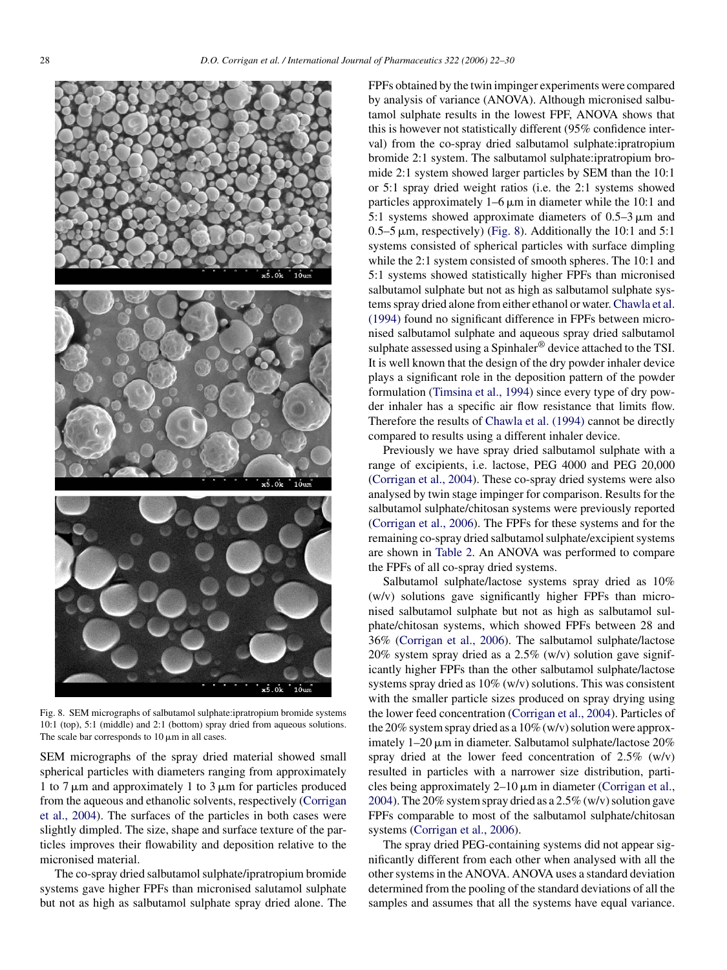<span id="page-6-0"></span>

Fig. 8. SEM micrographs of salbutamol sulphate:ipratropium bromide systems 10:1 (top), 5:1 (middle) and 2:1 (bottom) spray dried from aqueous solutions. The scale bar corresponds to  $10 \mu m$  in all cases.

SEM micrographs of the spray dried material showed small spherical particles with diameters ranging from approximately 1 to 7  $\mu$ m and approximately 1 to 3  $\mu$ m for particles produced from the aqueous and ethanolic solvents, respectively ([Corrigan](#page-8-0) [et al., 2004\).](#page-8-0) The surfaces of the particles in both cases were slightly dimpled. The size, shape and surface texture of the particles improves their flowability and deposition relative to the micronised material.

The co-spray dried salbutamol sulphate/ipratropium bromide systems gave higher FPFs than micronised salutamol sulphate but not as high as salbutamol sulphate spray dried alone. The

FPFs obtained by the twin impinger experiments were compared by analysis of variance (ANOVA). Although micronised salbutamol sulphate results in the lowest FPF, ANOVA shows that this is however not statistically different (95% confidence interval) from the co-spray dried salbutamol sulphate:ipratropium bromide 2:1 system. The salbutamol sulphate:ipratropium bromide 2:1 system showed larger particles by SEM than the 10:1 or 5:1 spray dried weight ratios (i.e. the 2:1 systems showed particles approximately  $1-6 \mu m$  in diameter while the 10:1 and 5:1 systems showed approximate diameters of  $0.5-3 \mu m$  and 0.5–5  $\mu$ m, respectively) (Fig. 8). Additionally the 10:1 and 5:1 systems consisted of spherical particles with surface dimpling while the 2:1 system consisted of smooth spheres. The 10:1 and 5:1 systems showed statistically higher FPFs than micronised salbutamol sulphate but not as high as salbutamol sulphate systems spray dried alone from either ethanol or water.[Chawla et al.](#page-8-0) [\(1994\)](#page-8-0) found no significant difference in FPFs between micronised salbutamol sulphate and aqueous spray dried salbutamol sulphate assessed using a Spinhaler<sup>®</sup> device attached to the TSI. It is well known that the design of the dry powder inhaler device plays a significant role in the deposition pattern of the powder formulation ([Timsina et al., 1994\)](#page-8-0) since every type of dry powder inhaler has a specific air flow resistance that limits flow. Therefore the results of [Chawla et al. \(1994\)](#page-8-0) cannot be directly compared to results using a different inhaler device.

Previously we have spray dried salbutamol sulphate with a range of excipients, i.e. lactose, PEG 4000 and PEG 20,000 [\(Corrigan et al., 2004\).](#page-8-0) These co-spray dried systems were also analysed by twin stage impinger for comparison. Results for the salbutamol sulphate/chitosan systems were previously reported [\(Corrigan et al., 2006\).](#page-8-0) The FPFs for these systems and for the remaining co-spray dried salbutamol sulphate/excipient systems are shown in [Table 2.](#page-7-0) An ANOVA was performed to compare the FPFs of all co-spray dried systems.

Salbutamol sulphate/lactose systems spray dried as 10% (w/v) solutions gave significantly higher FPFs than micronised salbutamol sulphate but not as high as salbutamol sulphate/chitosan systems, which showed FPFs between 28 and 36% [\(Corrigan et al., 2006\).](#page-8-0) The salbutamol sulphate/lactose 20% system spray dried as a 2.5% (w/v) solution gave significantly higher FPFs than the other salbutamol sulphate/lactose systems spray dried as 10% (w/v) solutions. This was consistent with the smaller particle sizes produced on spray drying using the lower feed concentration [\(Corrigan et al., 2004\).](#page-8-0) Particles of the 20% system spray dried as a 10% (w/v) solution were approximately  $1-20 \mu m$  in diameter. Salbutamol sulphate/lactose  $20\%$ spray dried at the lower feed concentration of 2.5% (w/v) resulted in particles with a narrower size distribution, particles being approximately  $2-10 \mu m$  in diameter [\(Corrigan et al.,](#page-8-0) [2004\).](#page-8-0) The 20% system spray dried as a 2.5% (w/v) solution gave FPFs comparable to most of the salbutamol sulphate/chitosan systems [\(Corrigan et al., 2006\).](#page-8-0)

The spray dried PEG-containing systems did not appear significantly different from each other when analysed with all the other systems in the ANOVA. ANOVA uses a standard deviation determined from the pooling of the standard deviations of all the samples and assumes that all the systems have equal variance.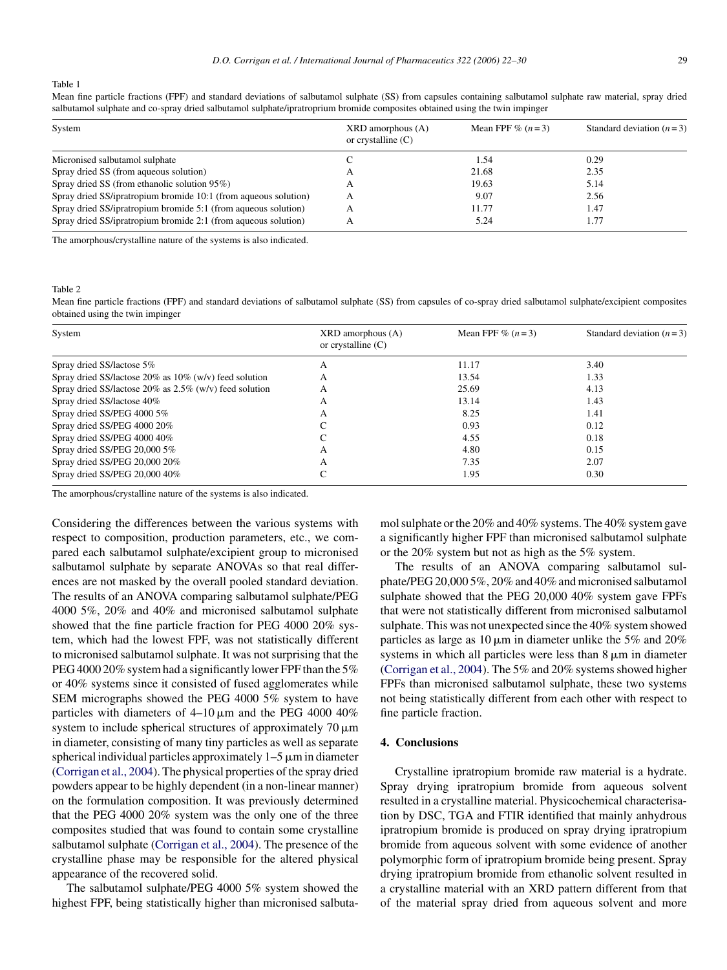<span id="page-7-0"></span>Table 1

Mean fine particle fractions (FPF) and standard deviations of salbutamol sulphate (SS) from capsules containing salbutamol sulphate raw material, spray dried salbutamol sulphate and co-spray dried salbutamol sulphate/ipratroprium bromide composites obtained using the twin impinger

| System                                                          | $XRD$ amorphous $(A)$<br>or crystalline $(C)$ | Mean FPF $\%$ $(n=3)$ | Standard deviation $(n=3)$ |
|-----------------------------------------------------------------|-----------------------------------------------|-----------------------|----------------------------|
| Micronised salbutamol sulphate                                  |                                               | 1.54                  | 0.29                       |
| Spray dried SS (from aqueous solution)                          |                                               | 21.68                 | 2.35                       |
| Spray dried SS (from ethanolic solution 95%)                    |                                               | 19.63                 | 5.14                       |
| Spray dried SS/ipratropium bromide 10:1 (from aqueous solution) | А                                             | 9.07                  | 2.56                       |
| Spray dried SS/ipratropium bromide 5:1 (from aqueous solution)  |                                               | 11.77                 | 1.47                       |
| Spray dried SS/ipratropium bromide 2:1 (from aqueous solution)  |                                               | 5.24                  | 1.77                       |

The amorphous/crystalline nature of the systems is also indicated.

Table 2

Mean fine particle fractions (FPF) and standard deviations of salbutamol sulphate (SS) from capsules of co-spray dried salbutamol sulphate/excipient composites obtained using the twin impinger

| System                                                       | $XRD$ amorphous $(A)$<br>or crystalline $(C)$ | Mean FPF $\%$ $(n=3)$ | Standard deviation $(n=3)$ |
|--------------------------------------------------------------|-----------------------------------------------|-----------------------|----------------------------|
| Spray dried SS/lactose 5%                                    | А                                             | 11.17                 | 3.40                       |
| Spray dried SS/lactose $20\%$ as $10\%$ (w/v) feed solution  | А                                             | 13.54                 | 1.33                       |
| Spray dried SS/lactose $20\%$ as $2.5\%$ (w/v) feed solution | А                                             | 25.69                 | 4.13                       |
| Spray dried SS/lactose 40%                                   | А                                             | 13.14                 | 1.43                       |
| Spray dried SS/PEG 4000 5%                                   | А                                             | 8.25                  | 1.41                       |
| Spray dried SS/PEG 4000 20%                                  |                                               | 0.93                  | 0.12                       |
| Spray dried SS/PEG 4000 40%                                  |                                               | 4.55                  | 0.18                       |
| Spray dried SS/PEG 20,000 5%                                 | А                                             | 4.80                  | 0.15                       |
| Spray dried SS/PEG 20,000 20%                                | А                                             | 7.35                  | 2.07                       |
| Spray dried SS/PEG 20,000 40%                                |                                               | 1.95                  | 0.30                       |

The amorphous/crystalline nature of the systems is also indicated.

Considering the differences between the various systems with respect to composition, production parameters, etc., we compared each salbutamol sulphate/excipient group to micronised salbutamol sulphate by separate ANOVAs so that real differences are not masked by the overall pooled standard deviation. The results of an ANOVA comparing salbutamol sulphate/PEG 4000 5%, 20% and 40% and micronised salbutamol sulphate showed that the fine particle fraction for PEG 4000 20% system, which had the lowest FPF, was not statistically different to micronised salbutamol sulphate. It was not surprising that the PEG 4000 20% system had a significantly lower FPF than the 5% or 40% systems since it consisted of fused agglomerates while SEM micrographs showed the PEG 4000 5% system to have particles with diameters of  $4-10 \mu m$  and the PEG 4000 40% system to include spherical structures of approximately  $70 \mu m$ in diameter, consisting of many tiny particles as well as separate spherical individual particles approximately  $1-5 \mu m$  in diameter ([Corrigan et al., 2004\).](#page-8-0) The physical properties of the spray dried powders appear to be highly dependent (in a non-linear manner) on the formulation composition. It was previously determined that the PEG 4000 20% system was the only one of the three composites studied that was found to contain some crystalline salbutamol sulphate [\(Corrigan et al., 2004\).](#page-8-0) The presence of the crystalline phase may be responsible for the altered physical appearance of the recovered solid.

The salbutamol sulphate/PEG 4000 5% system showed the highest FPF, being statistically higher than micronised salbutamol sulphate or the 20% and 40% systems. The 40% system gave a significantly higher FPF than micronised salbutamol sulphate or the 20% system but not as high as the 5% system.

The results of an ANOVA comparing salbutamol sulphate/PEG 20,000 5%, 20% and 40% and micronised salbutamol sulphate showed that the PEG 20,000 40% system gave FPFs that were not statistically different from micronised salbutamol sulphate. This was not unexpected since the 40% system showed particles as large as  $10 \mu m$  in diameter unlike the 5% and 20% systems in which all particles were less than  $8 \mu m$  in diameter ([Corrigan et al., 2004\).](#page-8-0) The 5% and 20% systems showed higher FPFs than micronised salbutamol sulphate, these two systems not being statistically different from each other with respect to fine particle fraction.

#### **4. Conclusions**

Crystalline ipratropium bromide raw material is a hydrate. Spray drying ipratropium bromide from aqueous solvent resulted in a crystalline material. Physicochemical characterisation by DSC, TGA and FTIR identified that mainly anhydrous ipratropium bromide is produced on spray drying ipratropium bromide from aqueous solvent with some evidence of another polymorphic form of ipratropium bromide being present. Spray drying ipratropium bromide from ethanolic solvent resulted in a crystalline material with an XRD pattern different from that of the material spray dried from aqueous solvent and more